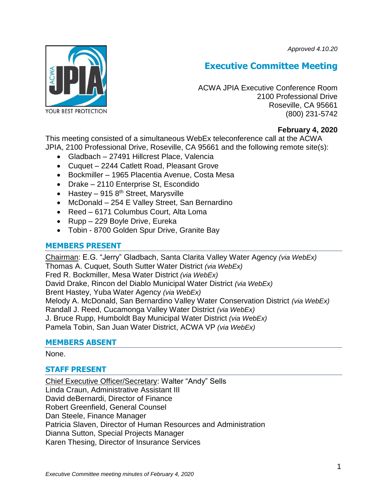*Approved 4.10.20*



# **Executive Committee Meeting**

ACWA JPIA Executive Conference Room 2100 Professional Drive Roseville, CA 95661 (800) 231-5742

# **February 4, 2020**

This meeting consisted of a simultaneous WebEx teleconference call at the ACWA JPIA, 2100 Professional Drive, Roseville, CA 95661 and the following remote site(s):

- Gladbach 27491 Hillcrest Place, Valencia
- Cuquet 2244 Catlett Road, Pleasant Grove
- Bockmiller 1965 Placentia Avenue, Costa Mesa
- Drake 2110 Enterprise St, Escondido
- Hastey 915  $8<sup>th</sup>$  Street, Marysville
- McDonald 254 E Valley Street, San Bernardino
- Reed 6171 Columbus Court, Alta Loma
- Rupp 229 Boyle Drive, Eureka
- Tobin 8700 Golden Spur Drive, Granite Bay

# **MEMBERS PRESENT**

Chairman: E.G. "Jerry" Gladbach, Santa Clarita Valley Water Agency *(via WebEx)* Thomas A. Cuquet, South Sutter Water District *(via WebEx)* Fred R. Bockmiller, Mesa Water District *(via WebEx)* David Drake, Rincon del Diablo Municipal Water District *(via WebEx)* Brent Hastey, Yuba Water Agency *(via WebEx)* Melody A. McDonald, San Bernardino Valley Water Conservation District *(via WebEx)* Randall J. Reed, Cucamonga Valley Water District *(via WebEx)* J. Bruce Rupp, Humboldt Bay Municipal Water District *(via WebEx)* Pamela Tobin, San Juan Water District, ACWA VP *(via WebEx)*

# **MEMBERS ABSENT**

# None.

# **STAFF PRESENT**

Chief Executive Officer/Secretary: Walter "Andy" Sells Linda Craun, Administrative Assistant III David deBernardi, Director of Finance Robert Greenfield, General Counsel Dan Steele, Finance Manager Patricia Slaven, Director of Human Resources and Administration Dianna Sutton, Special Projects Manager Karen Thesing, Director of Insurance Services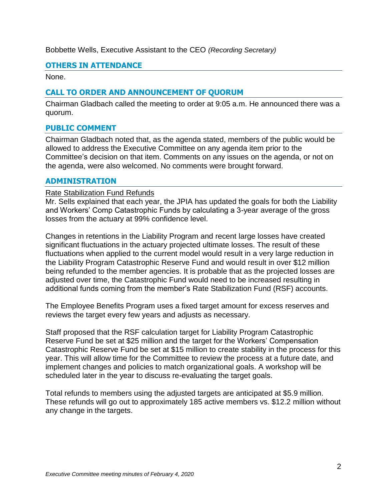#### Bobbette Wells, Executive Assistant to the CEO *(Recording Secretary)*

# **OTHERS IN ATTENDANCE**

None.

# **CALL TO ORDER AND ANNOUNCEMENT OF QUORUM**

Chairman Gladbach called the meeting to order at 9:05 a.m. He announced there was a quorum.

# **PUBLIC COMMENT**

Chairman Gladbach noted that, as the agenda stated, members of the public would be allowed to address the Executive Committee on any agenda item prior to the Committee's decision on that item. Comments on any issues on the agenda, or not on the agenda, were also welcomed. No comments were brought forward.

#### **ADMINISTRATION**

#### Rate Stabilization Fund Refunds

Mr. Sells explained that each year, the JPIA has updated the goals for both the Liability and Workers' Comp Catastrophic Funds by calculating a 3-year average of the gross losses from the actuary at 99% confidence level.

Changes in retentions in the Liability Program and recent large losses have created significant fluctuations in the actuary projected ultimate losses. The result of these fluctuations when applied to the current model would result in a very large reduction in the Liability Program Catastrophic Reserve Fund and would result in over \$12 million being refunded to the member agencies. It is probable that as the projected losses are adjusted over time, the Catastrophic Fund would need to be increased resulting in additional funds coming from the member's Rate Stabilization Fund (RSF) accounts.

The Employee Benefits Program uses a fixed target amount for excess reserves and reviews the target every few years and adjusts as necessary.

Staff proposed that the RSF calculation target for Liability Program Catastrophic Reserve Fund be set at \$25 million and the target for the Workers' Compensation Catastrophic Reserve Fund be set at \$15 million to create stability in the process for this year. This will allow time for the Committee to review the process at a future date, and implement changes and policies to match organizational goals. A workshop will be scheduled later in the year to discuss re-evaluating the target goals.

Total refunds to members using the adjusted targets are anticipated at \$5.9 million. These refunds will go out to approximately 185 active members vs. \$12.2 million without any change in the targets.